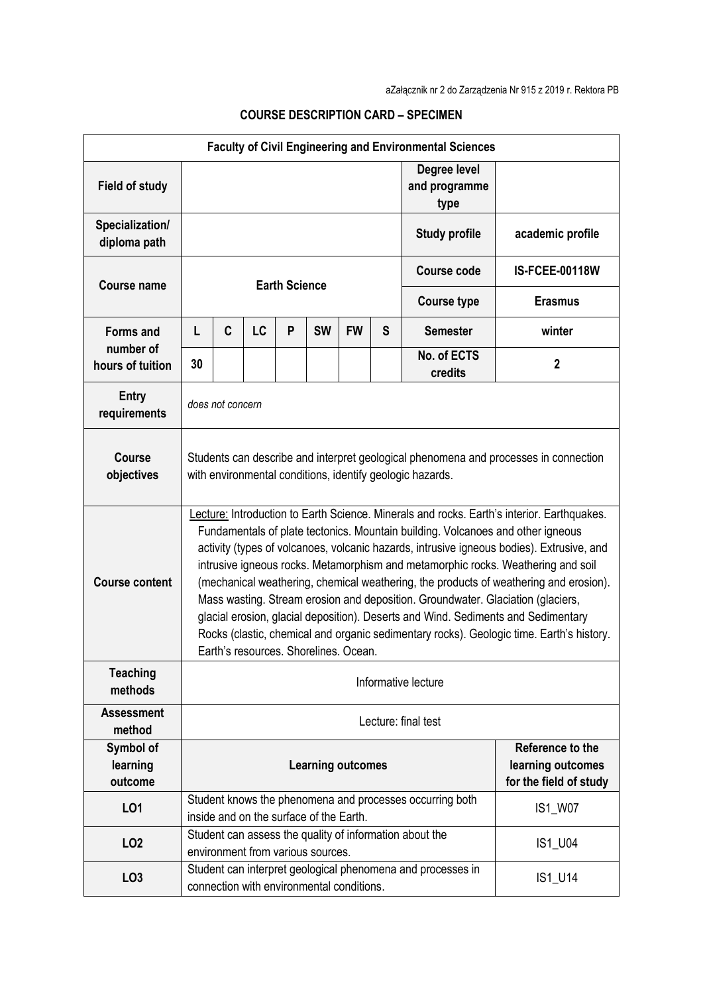| <b>Faculty of Civil Engineering and Environmental Sciences</b> |                                                                                                                                                                                                                                                                                                                                                                                                                                                                                                                                                                                                                                                                                                                                                                      |   |    |   |                                           |           |                                                                 |                                                             |                       |
|----------------------------------------------------------------|----------------------------------------------------------------------------------------------------------------------------------------------------------------------------------------------------------------------------------------------------------------------------------------------------------------------------------------------------------------------------------------------------------------------------------------------------------------------------------------------------------------------------------------------------------------------------------------------------------------------------------------------------------------------------------------------------------------------------------------------------------------------|---|----|---|-------------------------------------------|-----------|-----------------------------------------------------------------|-------------------------------------------------------------|-----------------------|
| <b>Field of study</b>                                          |                                                                                                                                                                                                                                                                                                                                                                                                                                                                                                                                                                                                                                                                                                                                                                      |   |    |   |                                           |           |                                                                 | Degree level<br>and programme<br>type                       |                       |
| Specialization/<br>diploma path                                |                                                                                                                                                                                                                                                                                                                                                                                                                                                                                                                                                                                                                                                                                                                                                                      |   |    |   |                                           |           |                                                                 | <b>Study profile</b>                                        | academic profile      |
| Course name                                                    | <b>Earth Science</b>                                                                                                                                                                                                                                                                                                                                                                                                                                                                                                                                                                                                                                                                                                                                                 |   |    |   |                                           |           |                                                                 | <b>Course code</b>                                          | <b>IS-FCEE-00118W</b> |
|                                                                |                                                                                                                                                                                                                                                                                                                                                                                                                                                                                                                                                                                                                                                                                                                                                                      |   |    |   |                                           |           |                                                                 | <b>Course type</b>                                          | <b>Erasmus</b>        |
| <b>Forms and</b><br>number of<br>hours of tuition              | L                                                                                                                                                                                                                                                                                                                                                                                                                                                                                                                                                                                                                                                                                                                                                                    | C | LC | P | <b>SW</b>                                 | <b>FW</b> | S                                                               | <b>Semester</b>                                             | winter                |
|                                                                | 30                                                                                                                                                                                                                                                                                                                                                                                                                                                                                                                                                                                                                                                                                                                                                                   |   |    |   |                                           |           |                                                                 | No. of ECTS<br>credits                                      | $\mathbf 2$           |
| <b>Entry</b><br>requirements                                   | does not concern                                                                                                                                                                                                                                                                                                                                                                                                                                                                                                                                                                                                                                                                                                                                                     |   |    |   |                                           |           |                                                                 |                                                             |                       |
| <b>Course</b><br>objectives                                    | Students can describe and interpret geological phenomena and processes in connection<br>with environmental conditions, identify geologic hazards.                                                                                                                                                                                                                                                                                                                                                                                                                                                                                                                                                                                                                    |   |    |   |                                           |           |                                                                 |                                                             |                       |
| <b>Course content</b>                                          | Lecture: Introduction to Earth Science. Minerals and rocks. Earth's interior. Earthquakes.<br>Fundamentals of plate tectonics. Mountain building. Volcanoes and other igneous<br>activity (types of volcanoes, volcanic hazards, intrusive igneous bodies). Extrusive, and<br>intrusive igneous rocks. Metamorphism and metamorphic rocks. Weathering and soil<br>(mechanical weathering, chemical weathering, the products of weathering and erosion).<br>Mass wasting. Stream erosion and deposition. Groundwater. Glaciation (glaciers,<br>glacial erosion, glacial deposition). Deserts and Wind. Sediments and Sedimentary<br>Rocks (clastic, chemical and organic sedimentary rocks). Geologic time. Earth's history.<br>Earth's resources. Shorelines. Ocean. |   |    |   |                                           |           |                                                                 |                                                             |                       |
| <b>Teaching</b><br>methods                                     | Informative lecture                                                                                                                                                                                                                                                                                                                                                                                                                                                                                                                                                                                                                                                                                                                                                  |   |    |   |                                           |           |                                                                 |                                                             |                       |
| <b>Assessment</b><br>method                                    | Lecture: final test                                                                                                                                                                                                                                                                                                                                                                                                                                                                                                                                                                                                                                                                                                                                                  |   |    |   |                                           |           |                                                                 |                                                             |                       |
| Symbol of<br>learning<br>outcome                               | <b>Learning outcomes</b>                                                                                                                                                                                                                                                                                                                                                                                                                                                                                                                                                                                                                                                                                                                                             |   |    |   |                                           |           | Reference to the<br>learning outcomes<br>for the field of study |                                                             |                       |
| L01                                                            |                                                                                                                                                                                                                                                                                                                                                                                                                                                                                                                                                                                                                                                                                                                                                                      |   |    |   | inside and on the surface of the Earth.   |           |                                                                 | Student knows the phenomena and processes occurring both    | IS1_W07               |
| LO <sub>2</sub>                                                |                                                                                                                                                                                                                                                                                                                                                                                                                                                                                                                                                                                                                                                                                                                                                                      |   |    |   | environment from various sources.         |           |                                                                 | Student can assess the quality of information about the     | IS1_U04               |
| LO <sub>3</sub>                                                |                                                                                                                                                                                                                                                                                                                                                                                                                                                                                                                                                                                                                                                                                                                                                                      |   |    |   | connection with environmental conditions. |           |                                                                 | Student can interpret geological phenomena and processes in | IS1_U14               |

## **COURSE DESCRIPTION CARD – SPECIMEN**